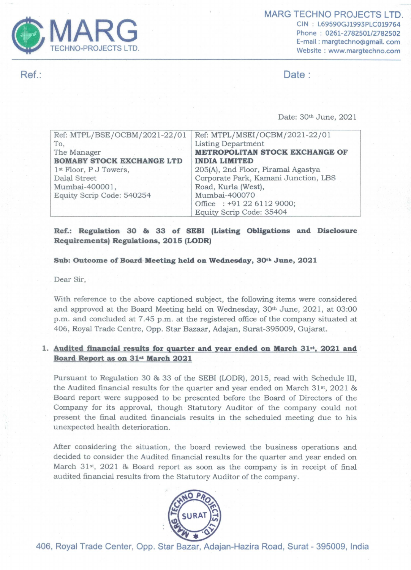

CIN : L69590GJ1993PLC019764 Phone : 0261-2782501/2782502 E-mail : margtechno@gmail. com Website : www.margtechno.com

Ref.: Date :

| MARG<br><b>TECHNO-PROJECTS LTD.</b>                                                                                                                             | <b>MARG TECHNO PROJE</b><br>CIN: L69590GJ1993<br>Phone: 0261-27825<br>E-mail: margtechno<br>Website: www.marg                                                                                                                     |
|-----------------------------------------------------------------------------------------------------------------------------------------------------------------|-----------------------------------------------------------------------------------------------------------------------------------------------------------------------------------------------------------------------------------|
|                                                                                                                                                                 | Date:                                                                                                                                                                                                                             |
|                                                                                                                                                                 |                                                                                                                                                                                                                                   |
|                                                                                                                                                                 | Date: 30th June, 2021                                                                                                                                                                                                             |
| Ref: MTPL/BSE/OCBM/2021-22/01<br>To,<br>The Manager<br><b>BOMABY STOCK EXCHANGE LTD</b><br>1 <sup>st</sup> Floor, P J Towers,<br>Dalal Street<br>Mumbai-400001, | Ref: MTPL/MSEI/OCBM/2021-22/01<br><b>Listing Department</b><br><b>METROPOLITAN STOCK EXCHANGE OF</b><br><b>INDIA LIMITED</b><br>205(A), 2nd Floor, Piramal Agastya<br>Corporate Park, Kamani Junction, LBS<br>Road, Kurla (West), |
| Equity Scrip Code: 540254                                                                                                                                       | Mumbai-400070<br>Office: +91 22 6112 9000;<br>Equity Scrip Code: 35404                                                                                                                                                            |

## Ref.: Regulation 30 & 33 of SEBI (Listing Obligations and Disclosure Requirements) Regulations, 2015 (LODR)

## Sub: Outcome of Board Meeting held on Wednesday, 30t» June, 2021

Dear Sir,

With reference to the above captioned subject, the following items were considered and approved at the Board Meeting held on Wednesday, 30<sup>th</sup> June, 2021, at 03:00 p.m. and concluded at 7.45 p.m. at the registered office of the company situated at 406, Royal Trade Centre, Opp. Star Bazaar, Adajan, Surat-395009, Gujarat.

## 1. Audited financial results for quarter and year ended on March 31\*, 2021 and Board Report as on 31<sup>st</sup> March 2021

Pursuant to Regulation 30 & 33 of the SEBI (LODR), 2015, read with Schedule III, the Audited financial results for the quarter and year ended on March 31st, 2021 & Board report were supposed to be presented before the Board of Directors of the Company for its approval, though Statutory Auditor of the company could not present the final audited financials results in the scheduled meeting due to his unexpected health deterioration.

After considering the situation, the board reviewed the business operations and decided to consider the Audited financial results for the quarter and year ended on March 31<sup>st</sup>, 2021 & Board report as soon as the company is in receipt of final audited financial results from the Statutory Auditor of the company.